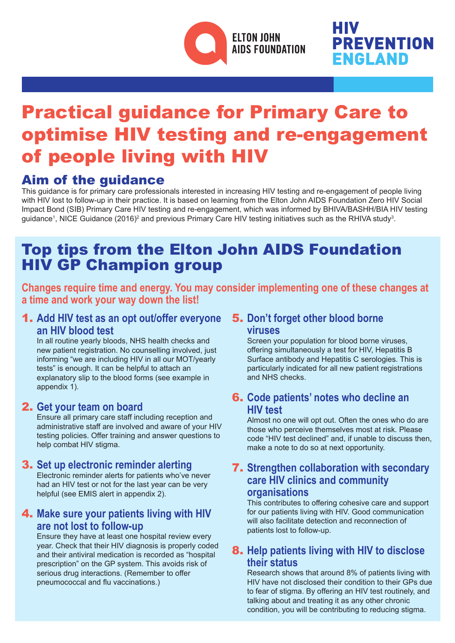

# **PREVENTION ENGLAND**

# Practical guidance for Primary Care to optimise HIV testing and re-engagement of people living with HIV

## Aim of the guidance

This guidance is for primary care professionals interested in increasing HIV testing and re-engagement of people living with HIV lost to follow-up in their practice. It is based on learning from the Elton John AIDS Foundation Zero HIV Social Impact Bond (SIB) Primary Care HIV testing and re-engagement, which was informed by BHIVA/BASHH/BIA HIV testing guidance<sup>1</sup>, NICE Guidance (2016)<sup>2</sup> and previous Primary Care HIV testing initiatives such as the RHIVA study<sup>3</sup>.

# Top tips from the Elton John AIDS Foundation HIV GP Champion group

**Changes require time and energy. You may consider implementing one of these changes at a time and work your way down the list!**

#### 1. **Add HIV test as an opt out/offer everyone an HIV blood test**

 In all routine yearly bloods, NHS health checks and new patient registration. No counselling involved, just informing "we are including HIV in all our MOT/yearly tests" is enough. It can be helpful to attach an explanatory slip to the blood forms (see example in appendix 1).

#### 2. **Get your team on board**

 Ensure all primary care staff including reception and administrative staff are involved and aware of your HIV testing policies. Offer training and answer questions to help combat HIV stigma.

#### 3. **Set up electronic reminder alerting**

Electronic reminder alerts for patients who've never had an HIV test or not for the last year can be very helpful (see EMIS alert in appendix 2).

#### 4. **Make sure your patients living with HIV are not lost to follow-up**

Ensure they have at least one hospital review every year. Check that their HIV diagnosis is properly coded and their antiviral medication is recorded as "hospital prescription" on the GP system. This avoids risk of serious drug interactions. (Remember to offer pneumococcal and flu vaccinations.)

#### 5. **Don't forget other blood borne viruses**

Screen your population for blood borne viruses, offering simultaneously a test for HIV, Hepatitis B Surface antibody and Hepatitis C serologies. This is particularly indicated for all new patient registrations and NHS checks.

#### 6. **Code patients' notes who decline an HIV test**

Almost no one will opt out. Often the ones who do are those who perceive themselves most at risk. Please code "HIV test declined" and, if unable to discuss then, make a note to do so at next opportunity.

#### 7. **Strengthen collaboration with secondary care HIV clinics and community organisations**

 This contributes to offering cohesive care and support for our patients living with HIV. Good communication will also facilitate detection and reconnection of patients lost to follow-up.

#### 8. **Help patients living with HIV to disclose their status**

Research shows that around 8% of patients living with HIV have not disclosed their condition to their GPs due to fear of stigma. By offering an HIV test routinely, and talking about and treating it as any other chronic condition, you will be contributing to reducing stigma.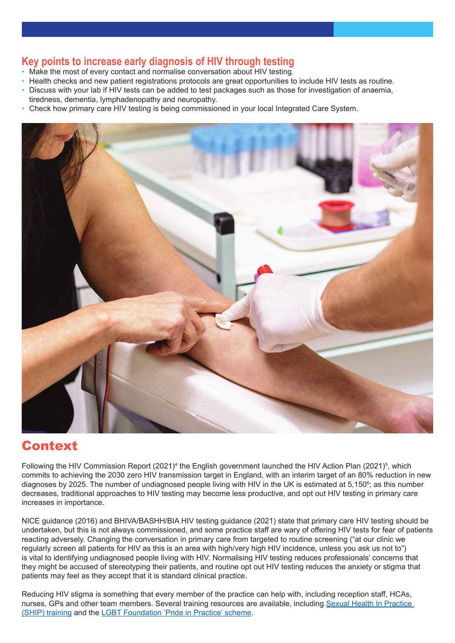#### **Key points to increase early diagnosis of HIV through testing**

- Make the most of every contact and normalise conversation about HIV testing.
- Health checks and new patient registrations protocols are great opportunities to include HIV tests as routine.
- Discuss with your lab if HIV tests can be added to test packages such as those for investigation of anaemia, tiredness, dementia, lymphadenopathy and neuropathy.
- Check how primary care HIV testing is being commissioned in your local Integrated Care System.



### Context

Following the HIV Commission Report (2021)<sup>4</sup> the English government launched the HIV Action Plan (2021)<sup>5</sup>, which commits to achieving the 2030 zero HIV transmission target in England, with an interim target of an 80% reduction in new diagnoses by 2025. The number of undiagnosed people living with HIV in the UK is estimated at 5,150<sup>6</sup>; as this number decreases, traditional approaches to HIV testing may become less productive, and opt out HIV testing in primary care increases in importance.

NICE guidance (2016) and BHIVA/BASHH/BIA HIV testing guidance (2021) state that primary care HIV testing should be undertaken, but this is not always commissioned, and some practice staff are wary of offering HIV tests for fear of patients reacting adversely. Changing the conversation in primary care from targeted to routine screening ("at our clinic we regularly screen all patients for HIV as this is an area with high/very high HIV incidence, unless you ask us not to") is vital to identifying undiagnosed people living with HIV. Normalising HIV testing reduces professionals' concerns that they might be accused of stereotyping their patients, and routine opt out HIV testing reduces the anxiety or stigma that patients may feel as they accept that it is standard clinical practice.

Reducing HIV stigma is something that every member of the practice can help with, including reception staff, HCAs, nurses, GPs and other team members. Several training resources are available, including Sexual Health In Practice [\(SHIP\) training](https://shiptraining.org.uk) and the [LGBT Foundation 'Pride in Practice' scheme](https://lgbt.foundation/prideinpractice).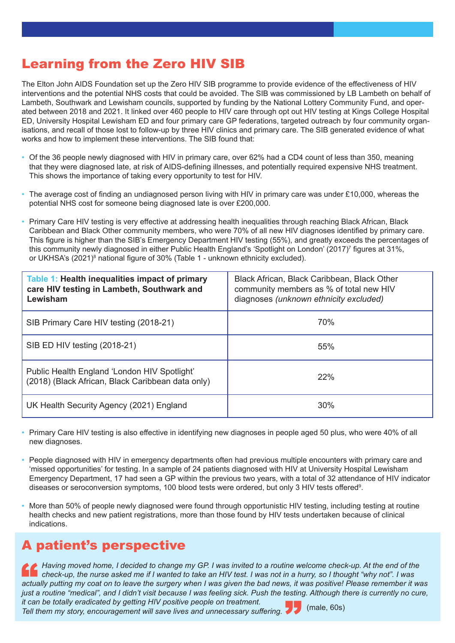# Learning from the Zero HIV SIB

The Elton John AIDS Foundation set up the Zero HIV SIB programme to provide evidence of the effectiveness of HIV interventions and the potential NHS costs that could be avoided. The SIB was commissioned by LB Lambeth on behalf of Lambeth, Southwark and Lewisham councils, supported by funding by the National Lottery Community Fund, and operated between 2018 and 2021. It linked over 460 people to HIV care through opt out HIV testing at Kings College Hospital ED, University Hospital Lewisham ED and four primary care GP federations, targeted outreach by four community organisations, and recall of those lost to follow-up by three HIV clinics and primary care. The SIB generated evidence of what works and how to implement these interventions. The SIB found that:

- Of the 36 people newly diagnosed with HIV in primary care, over 62% had a CD4 count of less than 350, meaning that they were diagnosed late, at risk of AIDS-defining illnesses, and potentially required expensive NHS treatment. This shows the importance of taking every opportunity to test for HIV.
- The average cost of finding an undiagnosed person living with HIV in primary care was under £10,000, whereas the potential NHS cost for someone being diagnosed late is over £200,000.
- Primary Care HIV testing is very effective at addressing health inequalities through reaching Black African, Black Caribbean and Black Other community members, who were 70% of all new HIV diagnoses identified by primary care. This figure is higher than the SIB's Emergency Department HIV testing (55%), and greatly exceeds the percentages of this community newly diagnosed in either Public Health England's 'Spotlight on London' (2017)7 figures at 31%, or UKHSA's (2021)<sup>8</sup> national figure of 30% (Table 1 - unknown ethnicity excluded).

| Table 1: Health inequalities impact of primary<br>care HIV testing in Lambeth, Southwark and<br>Lewisham | Black African, Black Caribbean, Black Other<br>community members as % of total new HIV<br>diagnoses (unknown ethnicity excluded) |
|----------------------------------------------------------------------------------------------------------|----------------------------------------------------------------------------------------------------------------------------------|
| SIB Primary Care HIV testing (2018-21)                                                                   | 70%                                                                                                                              |
| SIB ED HIV testing (2018-21)                                                                             | 55%                                                                                                                              |
| Public Health England 'London HIV Spotlight'<br>(2018) (Black African, Black Caribbean data only)        | 22%                                                                                                                              |
| UK Health Security Agency (2021) England                                                                 | 30%                                                                                                                              |

- Primary Care HIV testing is also effective in identifying new diagnoses in people aged 50 plus, who were 40% of all new diagnoses.
- People diagnosed with HIV in emergency departments often had previous multiple encounters with primary care and 'missed opportunities' for testing. In a sample of 24 patients diagnosed with HIV at University Hospital Lewisham Emergency Department, 17 had seen a GP within the previous two years, with a total of 32 attendance of HIV indicator diseases or seroconversion symptoms, 100 blood tests were ordered, but only 3 HIV tests offered9 .
- More than 50% of people newly diagnosed were found through opportunistic HIV testing, including testing at routine health checks and new patient registrations, more than those found by HIV tests undertaken because of clinical indications.

# A patient's perspective

*Having moved home, I decided to change my GP. I was invited to a routine welcome check-up. At the end of the check-up, the nurse asked me if I wanted to take an HIV test. I was not in a hurry, so I thought "why not". I was actually putting my coat on to leave the surgery when I was given the bad news, it was positive! Please remember it was just a routine "medical", and I didn't visit because I was feeling sick. Push the testing. Although there is currently no cure, it can be totally eradicated by getting HIV positive people on treatment.*

*Tell them my story, encouragement will save lives and unnecessary suffering.*

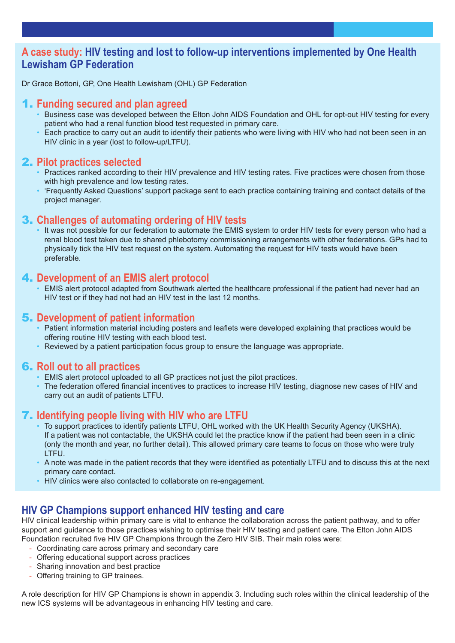#### **A case study: HIV testing and lost to follow-up interventions implemented by One Health Lewisham GP Federation**

Dr Grace Bottoni, GP, One Health Lewisham (OHL) GP Federation

#### 1. **Funding secured and plan agreed**

- Business case was developed between the Elton John AIDS Foundation and OHL for opt-out HIV testing for every patient who had a renal function blood test requested in primary care.
- Each practice to carry out an audit to identify their patients who were living with HIV who had not been seen in an HIV clinic in a year (lost to follow-up/LTFU).

#### 2. **Pilot practices selected**

- Practices ranked according to their HIV prevalence and HIV testing rates. Five practices were chosen from those with high prevalence and low testing rates.
- 'Frequently Asked Questions' support package sent to each practice containing training and contact details of the project manager.

#### 3. **Challenges of automating ordering of HIV tests**

 • It was not possible for our federation to automate the EMIS system to order HIV tests for every person who had a renal blood test taken due to shared phlebotomy commissioning arrangements with other federations. GPs had to physically tick the HIV test request on the system. Automating the request for HIV tests would have been preferable.

#### 4. **Development of an EMIS alert protocol**

 • EMIS alert protocol adapted from Southwark alerted the healthcare professional if the patient had never had an HIV test or if they had not had an HIV test in the last 12 months.

#### 5. **Development of patient information**

- Patient information material including posters and leaflets were developed explaining that practices would be offering routine HIV testing with each blood test.
- Reviewed by a patient participation focus group to ensure the language was appropriate.

#### 6. **Roll out to all practices**

- EMIS alert protocol uploaded to all GP practices not just the pilot practices.
- The federation offered financial incentives to practices to increase HIV testing, diagnose new cases of HIV and carry out an audit of patients LTFU.

#### 7. **Identifying people living with HIV who are LTFU**

- To support practices to identify patients LTFU, OHL worked with the UK Health Security Agency (UKSHA). If a patient was not contactable, the UKSHA could let the practice know if the patient had been seen in a clinic (only the month and year, no further detail). This allowed primary care teams to focus on those who were truly LTFU.
- A note was made in the patient records that they were identified as potentially LTFU and to discuss this at the next primary care contact.
- HIV clinics were also contacted to collaborate on re-engagement.

#### **HIV GP Champions support enhanced HIV testing and care**

HIV clinical leadership within primary care is vital to enhance the collaboration across the patient pathway, and to offer support and guidance to those practices wishing to optimise their HIV testing and patient care. The Elton John AIDS Foundation recruited five HIV GP Champions through the Zero HIV SIB. Their main roles were:

- Coordinating care across primary and secondary care
- Offering educational support across practices
- Sharing innovation and best practice
- Offering training to GP trainees.

A role description for HIV GP Champions is shown in appendix 3. Including such roles within the clinical leadership of the new ICS systems will be advantageous in enhancing HIV testing and care.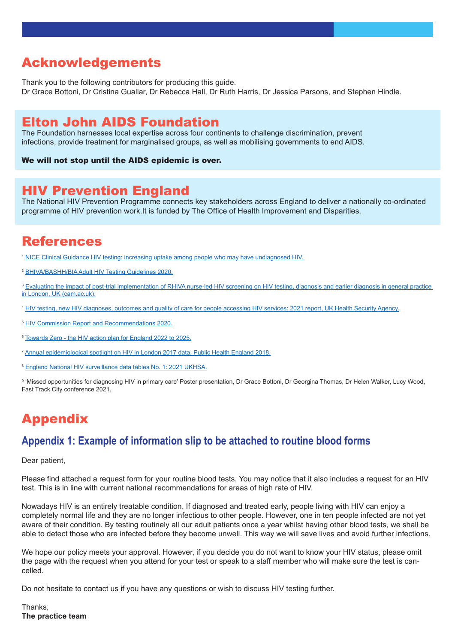### Acknowledgements

Thank you to the following contributors for producing this guide. Dr Grace Bottoni, Dr Cristina Guallar, Dr Rebecca Hall, Dr Ruth Harris, Dr Jessica Parsons, and Stephen Hindle.

### Elton John AIDS Foundation

The Foundation harnesses local expertise across four continents to challenge discrimination, prevent infections, provide treatment for marginalised groups, as well as mobilising governments to end AIDS.

We will not stop until the AIDS epidemic is over.

### HIV Prevention England

The National HIV Prevention Programme connects key stakeholders across England to deliver a nationally co-ordinated programme of HIV prevention [work.It](http://work.It) is funded by The Office of Health Improvement and Disparities.

## References

<sup>1</sup> [NICE Clinical Guidance HIV testing: increasing uptake among people who may have undiagnosed HIV.](https://www.nice.org.uk/guidance/ng60)

<sup>2</sup> [BHIVA/BASHH/BIA Adult HIV Testing Guidelines 2020](https://bhiva.org/HIV-testing-guidelines).

<sup>3</sup> Evaluating the impact of post-trial implementation of RHIVA nurse-led HIV screening on HIV testing, diagnosis and earlier diagnosis in general practice [in London, UK \(cam.ac.uk\)](https://www.repository.cam.ac.uk/bitstream/handle/1810/310189/Evaluating%20the%20impact%20of%20post-trial%20implementation%20of%20RHIVA%20nurse-led%20HIV%20screening%20on%20HIV%20testing,%20diagnosis%20and%20earlier%20di.pdf;sequence=1).

- <sup>4</sup> [HIV testing, new HIV diagnoses, outcomes and quality of care for people accessing HIV services: 2021 report, UK Health Security Agency](https://assets.publishing.service.gov.uk/government/uploads/system/uploads/attachment_data/file/1037215/hiv-2021-report.pdf).
- <sup>5</sup> [HIV Commission Report and Recommendations 2020](https://www.hivcommission.org.uk/wp-content/uploads/2020/11/HIV-Commission-Full-Report_online_final_pages-2.pdf).
- <sup>6</sup> [Towards Zero the HIV action plan for England 2022 to 2025](https://www.gov.uk/government/publications/towards-zero-the-hiv-action-plan-for-england-2022-to-2025).

<sup>7</sup> [Annual epidemiological spotlight on HIV in London 2017 data, Public Health England 2018](https://assets.publishing.service.gov.uk/government/uploads/system/uploads/attachment_data/file/767460/LondonHIVSpotlight2017.pdf).

<sup>8</sup> [England National HIV surveillance data tables No. 1: 2021 UKHSA.](https://view.officeapps.live.com/op/view.aspx?src=https%3A%2F%2Fassets.publishing.service.gov.uk%2Fgovernment%2Fuploads%2Fsystem%2Fuploads%2Fattachment_data%2Ffile%2F1037992%2Fhiv-national-data-tables-2021.ods&wdOrigin=BROWSELINK)

9 'Missed opportunities for diagnosing HIV in primary care' Poster presentation, Dr Grace Bottoni, Dr Georgina Thomas, Dr Helen Walker, Lucy Wood, Fast Track City conference 2021.

# Appendix

#### **Appendix 1: Example of information slip to be attached to routine blood forms**

#### Dear patient,

Please find attached a request form for your routine blood tests. You may notice that it also includes a request for an HIV test. This is in line with current national recommendations for areas of high rate of HIV.

Nowadays HIV is an entirely treatable condition. If diagnosed and treated early, people living with HIV can enjoy a completely normal life and they are no longer infectious to other people. However, one in ten people infected are not yet aware of their condition. By testing routinely all our adult patients once a year whilst having other blood tests, we shall be able to detect those who are infected before they become unwell. This way we will save lives and avoid further infections.

We hope our policy meets your approval. However, if you decide you do not want to know your HIV status, please omit the page with the request when you attend for your test or speak to a staff member who will make sure the test is cancelled.

Do not hesitate to contact us if you have any questions or wish to discuss HIV testing further.

Thanks, **The practice team**